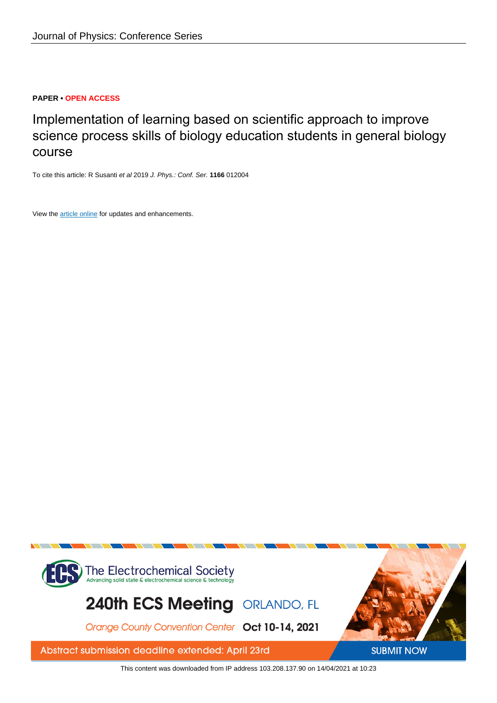## **PAPER • OPEN ACCESS**

Implementation of learning based on scientific approach to improve science process skills of biology education students in general biology course

To cite this article: R Susanti et al 2019 J. Phys.: Conf. Ser. **1166** 012004

View the [article online](https://doi.org/10.1088/1742-6596/1166/1/012004) for updates and enhancements.



This content was downloaded from IP address 103.208.137.90 on 14/04/2021 at 10:23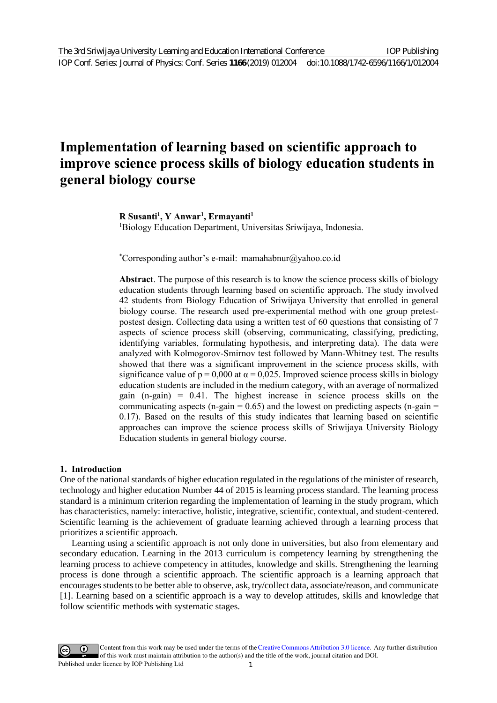# **Implementation of learning based on scientific approach to improve science process skills of biology education students in general biology course**

# **R Susanti1 , Y Anwar1 , Ermayanti1**

1 Biology Education Department, Universitas Sriwijaya, Indonesia.

\* Corresponding author's e-mail: mamahabnur@yahoo.co.id

**Abstract**. The purpose of this research is to know the science process skills of biology education students through learning based on scientific approach. The study involved 42 students from Biology Education of Sriwijaya University that enrolled in general biology course. The research used pre-experimental method with one group pretestpostest design. Collecting data using a written test of 60 questions that consisting of 7 aspects of science process skill (observing, communicating, classifying, predicting, identifying variables, formulating hypothesis, and interpreting data). The data were analyzed with Kolmogorov-Smirnov test followed by Mann-Whitney test. The results showed that there was a significant improvement in the science process skills, with significance value of  $p = 0.000$  at  $\alpha = 0.025$ . Improved science process skills in biology education students are included in the medium category, with an average of normalized gain (n-gain) = 0.41. The highest increase in science process skills on the communicating aspects (n-gain  $= 0.65$ ) and the lowest on predicting aspects (n-gain  $=$ 0.17). Based on the results of this study indicates that learning based on scientific approaches can improve the science process skills of Sriwijaya University Biology Education students in general biology course.

## **1. Introduction**

One of the national standards of higher education regulated in the regulations of the minister of research, technology and higher education Number 44 of 2015 is learning process standard. The learning process standard is a minimum criterion regarding the implementation of learning in the study program, which has characteristics, namely: interactive, holistic, integrative, scientific, contextual, and student-centered. Scientific learning is the achievement of graduate learning achieved through a learning process that prioritizes a scientific approach.

 Learning using a scientific approach is not only done in universities, but also from elementary and secondary education. Learning in the 2013 curriculum is competency learning by strengthening the learning process to achieve competency in attitudes, knowledge and skills. Strengthening the learning process is done through a scientific approach. The scientific approach is a learning approach that encourages students to be better able to observe, ask, try/collect data, associate/reason, and communicate [1]. Learning based on a scientific approach is a way to develop attitudes, skills and knowledge that follow scientific methods with systematic stages.

Content from this work may be used under the terms of the[Creative Commons Attribution 3.0 licence.](http://creativecommons.org/licenses/by/3.0) Any further distribution of this work must maintain attribution to the author(s) and the title of the work, journal citation and DOI. Published under licence by IOP Publishing Ltd 1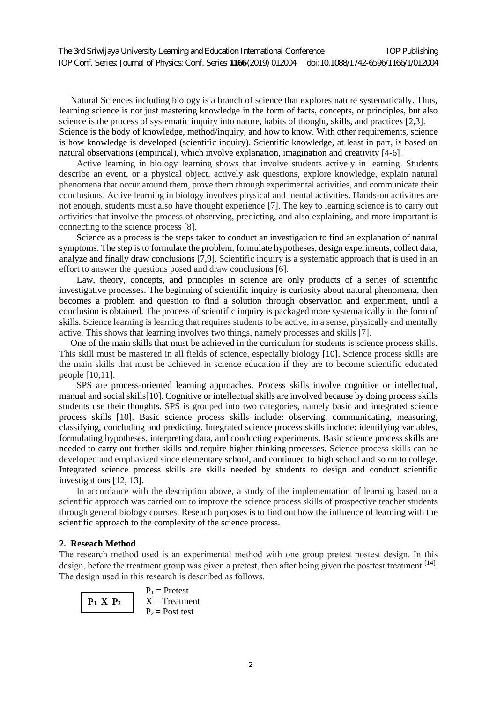Natural Sciences including biology is a branch of science that explores nature systematically. Thus, learning science is not just mastering knowledge in the form of facts, concepts, or principles, but also science is the process of systematic inquiry into nature, habits of thought, skills, and practices [2,3]. Science is the body of knowledge, method/inquiry, and how to know. With other requirements, science is how knowledge is developed (scientific inquiry). Scientific knowledge, at least in part, is based on natural observations (empirical), which involve explanation, imagination and creativity [4-6].

Active learning in biology learning shows that involve students actively in learning. Students describe an event, or a physical object, actively ask questions, explore knowledge, explain natural phenomena that occur around them, prove them through experimental activities, and communicate their conclusions. Active learning in biology involves physical and mental activities. Hands-on activities are not enough, students must also have thought experience [7]. The key to learning science is to carry out activities that involve the process of observing, predicting, and also explaining, and more important is connecting to the science process [8].

Science as a process is the steps taken to conduct an investigation to find an explanation of natural symptoms. The step is to formulate the problem, formulate hypotheses, design experiments, collect data, analyze and finally draw conclusions [7,9]. Scientific inquiry is a systematic approach that is used in an effort to answer the questions posed and draw conclusions [6].

Law, theory, concepts, and principles in science are only products of a series of scientific investigative processes. The beginning of scientific inquiry is curiosity about natural phenomena, then becomes a problem and question to find a solution through observation and experiment, until a conclusion is obtained. The process of scientific inquiry is packaged more systematically in the form of skills. Science learning is learning that requires students to be active, in a sense, physically and mentally active. This shows that learning involves two things, namely processes and skills [7].

 One of the main skills that must be achieved in the curriculum for students is science process skills. This skill must be mastered in all fields of science, especially biology [10]. Science process skills are the main skills that must be achieved in science education if they are to become scientific educated people [10,11].

SPS are process-oriented learning approaches. Process skills involve cognitive or intellectual, manual and social skills[10]. Cognitive or intellectual skills are involved because by doing process skills students use their thoughts. SPS is grouped into two categories, namely basic and integrated science process skills [10]. Basic science process skills include: observing, communicating, measuring, classifying, concluding and predicting. Integrated science process skills include: identifying variables, formulating hypotheses, interpreting data, and conducting experiments. Basic science process skills are needed to carry out further skills and require higher thinking processes. Science process skills can be developed and emphasized since elementary school, and continued to high school and so on to college. Integrated science process skills are skills needed by students to design and conduct scientific investigations [12, 13].

In accordance with the description above, a study of the implementation of learning based on a scientific approach was carried out to improve the science process skills of prospective teacher students through general biology courses. Reseach purposes is to find out how the influence of learning with the scientific approach to the complexity of the science process.

## **2. Reseach Method**

The research method used is an experimental method with one group pretest postest design. In this design, before the treatment group was given a pretest, then after being given the posttest treatment [14]. The design used in this research is described as follows.

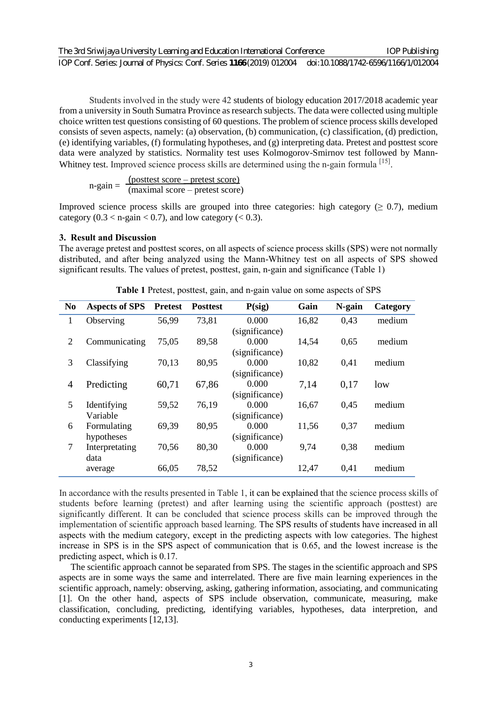Students involved in the study were 42 students of biology education 2017/2018 academic year from a university in South Sumatra Province as research subjects. The data were collected using multiple choice written test questions consisting of 60 questions. The problem of science process skills developed consists of seven aspects, namely: (a) observation, (b) communication, (c) classification, (d) prediction, (e) identifying variables, (f) formulating hypotheses, and (g) interpreting data. Pretest and posttest score data were analyzed by statistics. Normality test uses Kolmogorov-Smirnov test followed by Mann-Whitney test. Improved science process skills are determined using the n-gain formula [15].

 $n-gain = \frac{(posttest score - pretest score)}{(maximal score - prefest score)}$ (maximal score – pretest score)

Improved science process skills are grouped into three categories: high category ( $\geq 0.7$ ), medium category  $(0.3 < n$ -gain  $< 0.7$ ), and low category  $(< 0.3)$ .

#### **3. Result and Discussion**

The average pretest and posttest scores, on all aspects of science process skills (SPS) were not normally distributed, and after being analyzed using the Mann-Whitney test on all aspects of SPS showed significant results. The values of pretest, posttest, gain, n-gain and significance (Table 1)

| N <sub>0</sub> | <b>Aspects of SPS</b> | <b>Pretest</b> | <b>Posttest</b> | $P(\text{sig})$ | Gain  | N-gain | Category |
|----------------|-----------------------|----------------|-----------------|-----------------|-------|--------|----------|
| 1              | Observing             | 56,99          | 73,81           | 0.000           | 16,82 | 0.43   | medium   |
|                |                       |                |                 | (significance)  |       |        |          |
| $\overline{2}$ | Communicating         | 75,05          | 89,58           | 0.000           | 14,54 | 0,65   | medium   |
|                |                       |                |                 | (significance)  |       |        |          |
| 3              | Classifying           | 70,13          | 80,95           | 0.000           | 10,82 | 0.41   | medium   |
|                |                       |                |                 | (significance)  |       |        |          |
| $\overline{4}$ | Predicting            | 60,71          | 67,86           | 0.000           | 7,14  | 0.17   | low      |
|                |                       |                |                 | (significance)  |       |        |          |
| 5              | Identifying           | 59,52          | 76,19           | 0.000           | 16,67 | 0.45   | medium   |
|                | Variable              |                |                 | (significance)  |       |        |          |
| 6              | Formulating           | 69,39          | 80,95           | 0.000           | 11,56 | 0.37   | medium   |
|                | hypotheses            |                |                 | (significance)  |       |        |          |
| $\overline{7}$ | Interpretating        | 70,56          | 80,30           | 0.000           | 9,74  | 0,38   | medium   |
|                | data                  |                |                 | (significance)  |       |        |          |
|                | average               | 66,05          | 78,52           |                 | 12,47 | 0.41   | medium   |

**Table 1** Pretest, posttest, gain, and n-gain value on some aspects of SPS

In accordance with the results presented in Table 1, it can be explained that the science process skills of students before learning (pretest) and after learning using the scientific approach (posttest) are significantly different. It can be concluded that science process skills can be improved through the implementation of scientific approach based learning. The SPS results of students have increased in all aspects with the medium category, except in the predicting aspects with low categories. The highest increase in SPS is in the SPS aspect of communication that is 0.65, and the lowest increase is the predicting aspect, which is 0.17.

 The scientific approach cannot be separated from SPS. The stages in the scientific approach and SPS aspects are in some ways the same and interrelated. There are five main learning experiences in the scientific approach, namely: observing, asking, gathering information, associating, and communicating [1]. On the other hand, aspects of SPS include observation, communicate, measuring, make classification, concluding, predicting, identifying variables, hypotheses, data interpretion, and conducting experiments [12,13].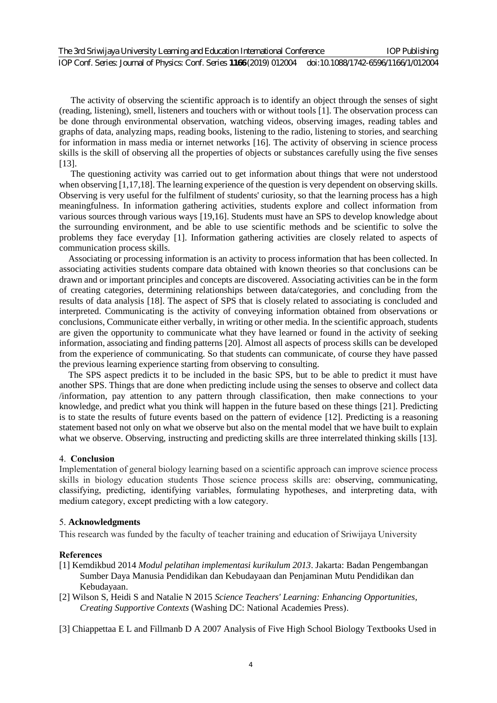The activity of observing the scientific approach is to identify an object through the senses of sight (reading, listening), smell, listeners and touchers with or without tools [1]. The observation process can be done through environmental observation, watching videos, observing images, reading tables and graphs of data, analyzing maps, reading books, listening to the radio, listening to stories, and searching for information in mass media or internet networks [16]. The activity of observing in science process skills is the skill of observing all the properties of objects or substances carefully using the five senses [13].

 The questioning activity was carried out to get information about things that were not understood when observing [1,17,18]. The learning experience of the question is very dependent on observing skills. Observing is very useful for the fulfilment of students' curiosity, so that the learning process has a high meaningfulness. In information gathering activities, students explore and collect information from various sources through various ways [19,16]. Students must have an SPS to develop knowledge about the surrounding environment, and be able to use scientific methods and be scientific to solve the problems they face everyday [1]. Information gathering activities are closely related to aspects of communication process skills.

 Associating or processing information is an activity to process information that has been collected. In associating activities students compare data obtained with known theories so that conclusions can be drawn and or important principles and concepts are discovered. Associating activities can be in the form of creating categories, determining relationships between data/categories, and concluding from the results of data analysis [18]. The aspect of SPS that is closely related to associating is concluded and interpreted. Communicating is the activity of conveying information obtained from observations or conclusions, Communicate either verbally, in writing or other media. In the scientific approach, students are given the opportunity to communicate what they have learned or found in the activity of seeking information, associating and finding patterns [20]. Almost all aspects of process skills can be developed from the experience of communicating. So that students can communicate, of course they have passed the previous learning experience starting from observing to consulting.

 The SPS aspect predicts it to be included in the basic SPS, but to be able to predict it must have another SPS. Things that are done when predicting include using the senses to observe and collect data /information, pay attention to any pattern through classification, then make connections to your knowledge, and predict what you think will happen in the future based on these things [21]. Predicting is to state the results of future events based on the pattern of evidence [12]. Predicting is a reasoning statement based not only on what we observe but also on the mental model that we have built to explain what we observe. Observing, instructing and predicting skills are three interrelated thinking skills [13].

## 4. **Conclusion**

Implementation of general biology learning based on a scientific approach can improve science process skills in biology education students Those science process skills are: observing, communicating, classifying, predicting, identifying variables, formulating hypotheses, and interpreting data, with medium category, except predicting with a low category.

#### 5. **Acknowledgments**

This research was funded by the faculty of teacher training and education of Sriwijaya University

#### **References**

- [1] Kemdikbud 2014 *Modul pelatihan implementasi kurikulum 2013*. Jakarta: Badan Pengembangan Sumber Daya Manusia Pendidikan dan Kebudayaan dan Penjaminan Mutu Pendidikan dan Kebudayaan.
- [2] Wilson S, Heidi S and Natalie N 2015 *Science Teachers' Learning: Enhancing Opportunities, Creating Supportive Contexts* (Washing DC: National Academies Press).
- [3] Chiappettaa E L and Fillmanb D A 2007 Analysis of Five High School Biology Textbooks Used in